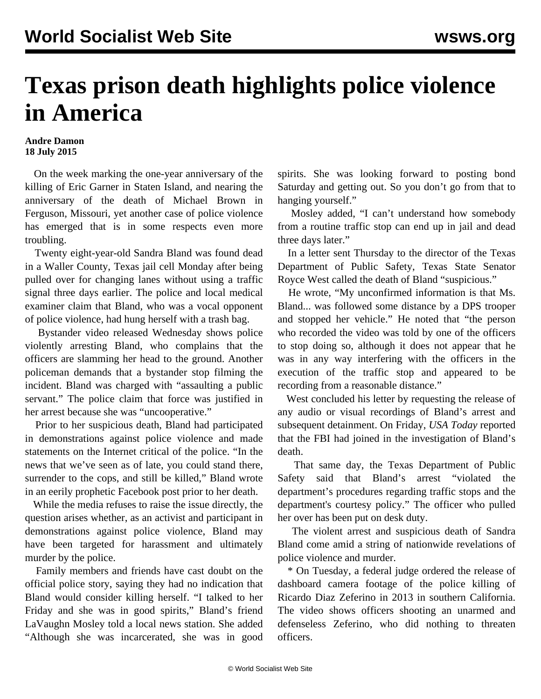## **Texas prison death highlights police violence in America**

## **Andre Damon 18 July 2015**

 On the week marking the one-year anniversary of the killing of Eric Garner in Staten Island, and nearing the anniversary of the death of Michael Brown in Ferguson, Missouri, yet another case of police violence has emerged that is in some respects even more troubling.

 Twenty eight-year-old Sandra Bland was found dead in a Waller County, Texas jail cell Monday after being pulled over for changing lanes without using a traffic signal three days earlier. The police and local medical examiner claim that Bland, who was a vocal opponent of police violence, had hung herself with a trash bag.

 Bystander video released Wednesday shows police violently arresting Bland, who complains that the officers are slamming her head to the ground. Another policeman demands that a bystander stop filming the incident. Bland was charged with "assaulting a public servant." The police claim that force was justified in her arrest because she was "uncooperative."

 Prior to her suspicious death, Bland had participated in demonstrations against police violence and made statements on the Internet critical of the police. "In the news that we've seen as of late, you could stand there, surrender to the cops, and still be killed," Bland wrote in an eerily prophetic Facebook post prior to her death.

 While the media refuses to raise the issue directly, the question arises whether, as an activist and participant in demonstrations against police violence, Bland may have been targeted for harassment and ultimately murder by the police.

 Family members and friends have cast doubt on the official police story, saying they had no indication that Bland would consider killing herself. "I talked to her Friday and she was in good spirits," Bland's friend LaVaughn Mosley told a local news station. She added "Although she was incarcerated, she was in good spirits. She was looking forward to posting bond Saturday and getting out. So you don't go from that to hanging yourself."

 Mosley added, "I can't understand how somebody from a routine traffic stop can end up in jail and dead three days later."

 In a letter sent Thursday to the director of the Texas Department of Public Safety, Texas State Senator Royce West called the death of Bland "suspicious."

 He wrote, "My unconfirmed information is that Ms. Bland... was followed some distance by a DPS trooper and stopped her vehicle." He noted that "the person who recorded the video was told by one of the officers to stop doing so, although it does not appear that he was in any way interfering with the officers in the execution of the traffic stop and appeared to be recording from a reasonable distance."

 West concluded his letter by requesting the release of any audio or visual recordings of Bland's arrest and subsequent detainment. On Friday, *USA Today* reported that the FBI had joined in the investigation of Bland's death.

 That same day, the Texas Department of Public Safety said that Bland's arrest "violated the department's procedures regarding traffic stops and the department's courtesy policy." The officer who pulled her over has been put on desk duty.

 The violent arrest and suspicious death of Sandra Bland come amid a string of nationwide revelations of police violence and murder.

 \* On Tuesday, a federal judge ordered the release of dashboard camera footage of the police killing of Ricardo Diaz Zeferino in 2013 in southern California. The video shows officers shooting an unarmed and defenseless Zeferino, who did nothing to threaten officers.